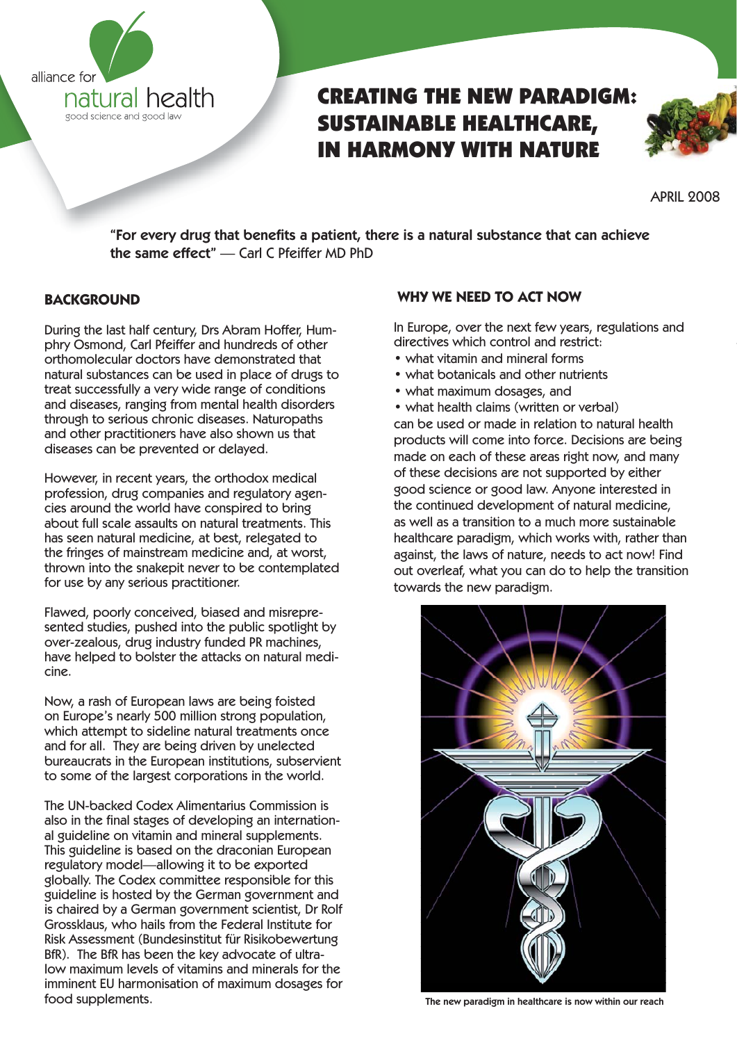

# CREATING THE NEW PARADIGM: SUSTAINABLE HEALTHCARE, IN HARMONY WITH NATURE



APRIL 2008

"For every drug that benefits a patient, there is a natural substance that can achieve the same effect" — Carl C Pfeiffer MD PhD

#### **BACKGROUND**

During the last half century, Drs Abram Hoffer, Humphry Osmond, Carl Pfeiffer and hundreds of other orthomolecular doctors have demonstrated that natural substances can be used in place of drugs to treat successfully a very wide range of conditions and diseases, ranging from mental health disorders through to serious chronic diseases. Naturopaths and other practitioners have also shown us that diseases can be prevented or delayed.

However, in recent years, the orthodox medical profession, drug companies and regulatory agencies around the world have conspired to bring about full scale assaults on natural treatments. This has seen natural medicine, at best, relegated to the fringes of mainstream medicine and, at worst, thrown into the snakepit never to be contemplated for use by any serious practitioner.

Flawed, poorly conceived, biased and misrepresented studies, pushed into the public spotlight by over-zealous, drug industry funded PR machines, have helped to bolster the attacks on natural medicine.

Now, a rash of European laws are being foisted on Europe's nearly 500 million strong population, which attempt to sideline natural treatments once and for all. They are being driven by unelected bureaucrats in the European institutions, subservient to some of the largest corporations in the world.

The UN-backed Codex Alimentarius Commission is also in the final stages of developing an international guideline on vitamin and mineral supplements. This guideline is based on the draconian European regulatory model—allowing it to be exported globally. The Codex committee responsible for this guideline is hosted by the German government and is chaired by a German government scientist, Dr Rolf Grossklaus, who hails from the Federal Institute for Risk Assessment (Bundesinstitut für Risikobewertung BfR). The BfR has been the key advocate of ultralow maximum levels of vitamins and minerals for the imminent EU harmonisation of maximum dosages for food supplements.

#### **WHY WE NEED TO ACT NOW**

In Europe, over the next few years, regulations and directives which control and restrict:

- what vitamin and mineral forms
- what botanicals and other nutrients
- what maximum dosages, and

• what health claims (written or verbal) can be used or made in relation to natural health products will come into force. Decisions are being made on each of these areas right now, and many of these decisions are not supported by either good science or good law. Anyone interested in the continued development of natural medicine, as well as a transition to a much more sustainable healthcare paradigm, which works with, rather than against, the laws of nature, needs to act now! Find out overleaf, what you can do to help the transition towards the new paradigm.



The new paradigm in healthcare is now within our reach